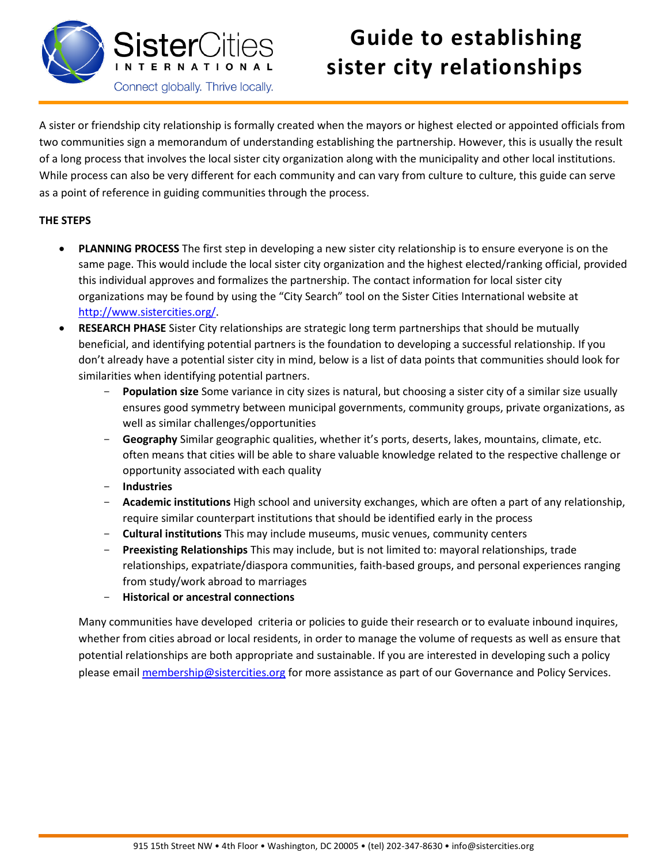

## **Guide to establishing sister city relationships**

A sister or friendship city relationship is formally created when the mayors or highest elected or appointed officials from two communities sign a memorandum of understanding establishing the partnership. However, this is usually the result of a long process that involves the local sister city organization along with the municipality and other local institutions. While process can also be very different for each community and can vary from culture to culture, this guide can serve as a point of reference in guiding communities through the process.

## **THE STEPS**

- **PLANNING PROCESS** The first step in developing a new sister city relationship is to ensure everyone is on the same page. This would include the local sister city organization and the highest elected/ranking official, provided this individual approves and formalizes the partnership. The contact information for local sister city organizations may be found by using the "City Search" tool on the Sister Cities International website at [http://www.sistercities.org/.](http://www.sistercities.org/)
- **RESEARCH PHASE** Sister City relationships are strategic long term partnerships that should be mutually beneficial, and identifying potential partners is the foundation to developing a successful relationship. If you don't already have a potential sister city in mind, below is a list of data points that communities should look for similarities when identifying potential partners.
	- Population size Some variance in city sizes is natural, but choosing a sister city of a similar size usually ensures good symmetry between municipal governments, community groups, private organizations, as well as similar challenges/opportunities
	- Geography Similar geographic qualities, whether it's ports, deserts, lakes, mountains, climate, etc. often means that cities will be able to share valuable knowledge related to the respective challenge or opportunity associated with each quality
	- **Industries**
	- **Academic institutions** High school and university exchanges, which are often a part of any relationship, require similar counterpart institutions that should be identified early in the process
	- **Cultural institutions** This may include museums, music venues, community centers
	- **Preexisting Relationships** This may include, but is not limited to: mayoral relationships, trade relationships, expatriate/diaspora communities, faith-based groups, and personal experiences ranging from study/work abroad to marriages
	- **Historical or ancestral connections**

Many communities have developed criteria or policies to guide their research or to evaluate inbound inquires, whether from cities abroad or local residents, in order to manage the volume of requests as well as ensure that potential relationships are both appropriate and sustainable. If you are interested in developing such a policy please emai[l membership@sistercities.org](mailto:membership@sistercities.org) for more assistance as part of our Governance and Policy Services.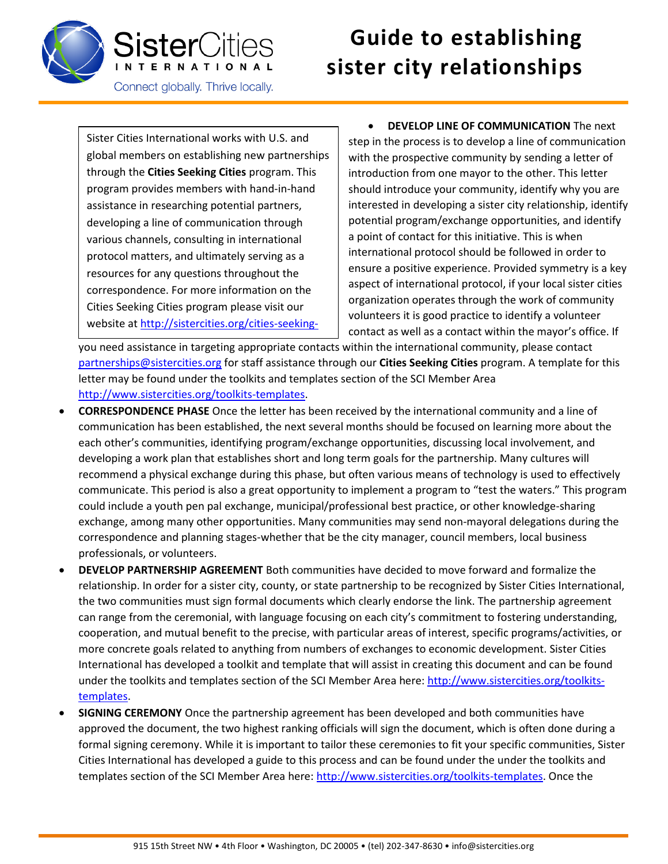

## **Guide to establishing sister city relationships**

Sister Cities International works with U.S. and global members on establishing new partnerships through the **Cities Seeking Cities** program. This program provides members with hand-in-hand assistance in researching potential partners, developing a line of communication through various channels, consulting in international protocol matters, and ultimately serving as a resources for any questions throughout the correspondence. For more information on the Cities Seeking Cities program please visit our website a[t http://sistercities.org/cities-seeking-](http://sistercities.org/cities-seeking-cities)

 **DEVELOP LINE OF COMMUNICATION** The next step in the process is to develop a line of communication with the prospective community by sending a letter of introduction from one mayor to the other. This letter should introduce your community, identify why you are interested in developing a sister city relationship, identify potential program/exchange opportunities, and identify a point of contact for this initiative. This is when international protocol should be followed in order to ensure a positive experience. Provided symmetry is a key aspect of international protocol, if your local sister cities organization operates through the work of community volunteers it is good practice to identify a volunteer contact as well as a contact within the mayor's office. If

[you nee](http://sistercities.org/cities-seeking-cities)d assistance in targeting appropriate contacts within the international community, please contact [partnerships@sistercities.org](mailto:partnerships@sistercities.org) for staff assistance through our **Cities Seeking Cities** program. A template for this letter may be found under the toolkits and templates section of the SCI Member Area [http://www.sistercities.org/toolkits-templates.](http://www.sistercities.org/toolkits-templates)

- **CORRESPONDENCE PHASE** Once the letter has been received by the international community and a line of communication has been established, the next several months should be focused on learning more about the each other's communities, identifying program/exchange opportunities, discussing local involvement, and developing a work plan that establishes short and long term goals for the partnership. Many cultures will recommend a physical exchange during this phase, but often various means of technology is used to effectively communicate. This period is also a great opportunity to implement a program to "test the waters." This program could include a youth pen pal exchange, municipal/professional best practice, or other knowledge-sharing exchange, among many other opportunities. Many communities may send non-mayoral delegations during the correspondence and planning stages-whether that be the city manager, council members, local business professionals, or volunteers.
- **DEVELOP PARTNERSHIP AGREEMENT** Both communities have decided to move forward and formalize the relationship. In order for a sister city, county, or state partnership to be recognized by Sister Cities International, the two communities must sign formal documents which clearly endorse the link. The partnership agreement can range from the ceremonial, with language focusing on each city's commitment to fostering understanding, cooperation, and mutual benefit to the precise, with particular areas of interest, specific programs/activities, or more concrete goals related to anything from numbers of exchanges to economic development. Sister Cities International has developed a toolkit and template that will assist in creating this document and can be found under the toolkits and templates section of the SCI Member Area here: [http://www.sistercities.org/toolkits](http://www.sistercities.org/toolkits-templates)[templates.](http://www.sistercities.org/toolkits-templates)
- **SIGNING CEREMONY** Once the partnership agreement has been developed and both communities have approved the document, the two highest ranking officials will sign the document, which is often done during a formal signing ceremony. While it is important to tailor these ceremonies to fit your specific communities, Sister Cities International has developed a guide to this process and can be found under the under the toolkits and templates section of the SCI Member Area here: [http://www.sistercities.org/toolkits-templates.](http://www.sistercities.org/toolkits-templates) Once the